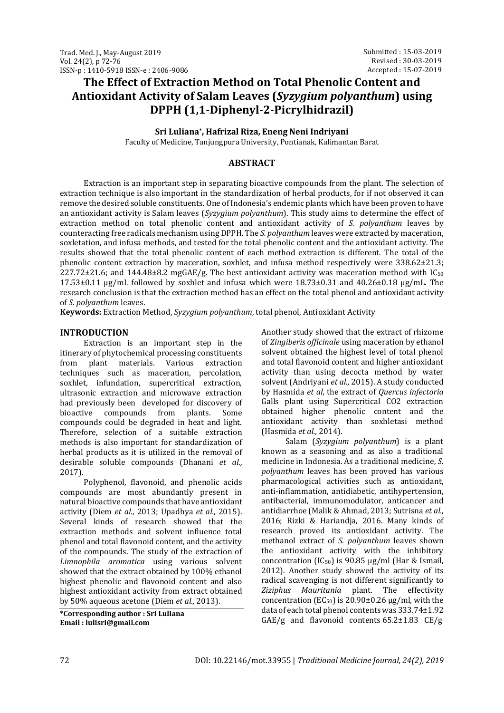# **The Effect of Extraction Method on Total Phenolic Content and Antioxidant Activity of Salam Leaves (***Syzygium polyanthum***) using DPPH (1,1-Diphenyl-2-Picrylhidrazil)**

**Sri Luliana\* , Hafrizal Riza, Eneng Neni Indriyani**

Faculty of Medicine, Tanjungpura University, Pontianak, Kalimantan Barat

## **ABSTRACT**

Extraction is an important step in separating bioactive compounds from the plant. The selection of extraction technique is also important in the standardization of herbal products, for if not observed it can remove the desired soluble constituents. One of Indonesia's endemic plants which have been proven to have an antioxidant activity is Salam leaves (*Syzygium polyanthum*). This study aims to determine the effect of extraction method on total phenolic content and antioxidant activity of *S. polyanthum* leaves by counteracting free radicals mechanism using DPPH. The *S. polyanthum* leaves were extracted by maceration, soxletation, and infusa methods, and tested for the total phenolic content and the antioxidant activity. The results showed that the total phenolic content of each method extraction is different. The total of the phenolic content extraction by maceration, soxhlet, and infusa method respectively were 338.62±21.3; 227.72±21.6; and 144.48±8.2 mgGAE/g. The best antioxidant activity was maceration method with IC<sup>50</sup>  $17.53\pm0.11$  µg/mL followed by soxhlet and infusa which were  $18.73\pm0.31$  and  $40.26\pm0.18$  µg/mL. The research conclusion is that the extraction method has an effect on the total phenol and antioxidant activity of *S. polyanthum* leaves.

**Keywords:** Extraction Method, *Syzygium polyanthum*, total phenol, Antioxidant Activity

## **INTRODUCTION**

Extraction is an important step in the itinerary of phytochemical processing constituents from plant materials. Various extraction techniques such as maceration, percolation, soxhlet, infundation, supercritical extraction, ultrasonic extraction and microwave extraction had previously been developed for discovery of bioactive compounds from plants. Some compounds could be degraded in heat and light. Therefore, selection of a suitable extraction methods is also important for standardization of herbal products as it is utilized in the removal of desirable soluble compounds (Dhanani *et al.,* 2017).

Polyphenol, flavonoid, and phenolic acids compounds are most abundantly present in natural bioactive compounds that have antioxidant activity (Diem *et al.,* 2013; Upadhya *et al.,* 2015). Several kinds of research showed that the extraction methods and solvent influence total phenol and total flavonoid content, and the activity of the compounds. The study of the extraction of *Limnophila aromatica* using various solvent showed that the extract obtained by 100% ethanol highest phenolic and flavonoid content and also highest antioxidant activity from extract obtained by 50% aqueous acetone (Diem *et al.,* 2013).

**\*Corresponding author : Sri Luliana Email : lulisri@gmail.com**

Another study showed that the extract of rhizome of *Zingiberis officinale* using maceration by ethanol solvent obtained the highest level of total phenol and total flavonoid content and higher antioxidant activity than using decocta method by water solvent (Andriyani *et al.,* 2015). A study conducted by Hasmida *et al*, the extract of *Quercus infectoria* Galls plant using Supercritical CO2 extraction obtained higher phenolic content and the antioxidant activity than soxhletasi method (Hasmida *et al.,* 2014).

Salam (*Syzygium polyanthum*) is a plant known as a seasoning and as also a traditional medicine in Indonesia. As a traditional medicine, *S. polyanthum* leaves has been proved has various pharmacological activities such as antioxidant, anti-inflammation, antidiabetic, antihypertension, antibacterial, immunomodulator, anticancer and antidiarrhoe (Malik & Ahmad, 2013; Sutrisna *et al.,* 2016; Rizki & Hariandja, 2016. Many kinds of research proved its antioxidant activity. The methanol extract of *S. polyanthum* leaves shown the antioxidant activity with the inhibitory concentration (IC<sub>50</sub>) is 90.85  $\mu$ g/ml (Har & Ismail, 2012). Another study showed the activity of its radical scavenging is not different significantly to *Ziziphus Mauritania* plant. The effectivity concentration ( $EC_{50}$ ) is 20.90±0.26  $\mu$ g/ml, with the data of each total phenol contents was 333.74±1.92 GAE/g and flavonoid contents  $65.2 \pm 1.83$  CE/g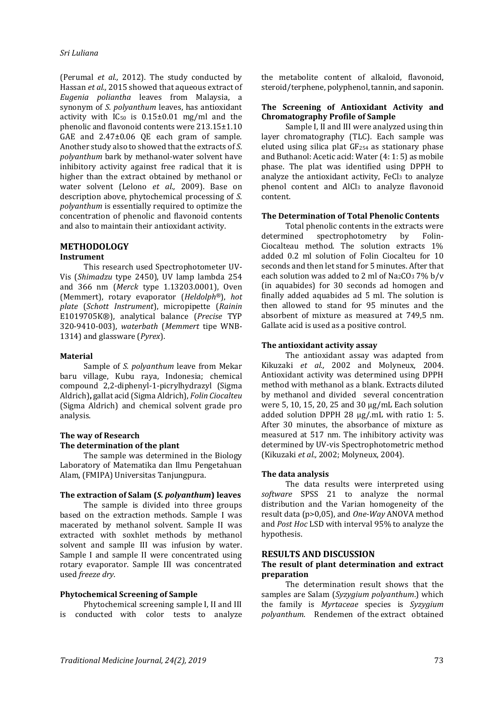### *Sri Luliana*

(Perumal *et al.,* 2012). The study conducted by Hassan *et al.,* 2015 showed that aqueous extract of *Eugenia poliantha* leaves from Malaysia, a synonym of *S. polyanthum* leaves, has antioxidant activity with  $IC_{50}$  is  $0.15\pm0.01$  mg/ml and the phenolic and flavonoid contents were 213.15±1.10 GAE and 2.47±0.06 QE each gram of sample. Another study also to showed that the extracts of *S. polyanthum* bark by methanol-water solvent have inhibitory activity against free radical that it is higher than the extract obtained by methanol or water solvent (Lelono *et al.,* 2009). Base on description above, phytochemical processing of *S. polyanthum* is essentially required to optimize the concentration of phenolic and flavonoid contents and also to maintain their antioxidant activity.

## **METHODOLOGY**

#### **Instrument**

This research used Spectrophotometer UV-Vis (*Shimadzu* type 2450), UV lamp lambda 254 and 366 nm (*Merck* type 1.13203.0001), Oven (Memmert), rotary evaporator (*Heldolph®*), *hot plate* (*Schott Instrument*), micropipette (*Rainin* E1019705K®), analytical balance (*Precise* TYP 320-9410-003), *waterbath* (*Memmert* tipe WNB-1314) and glassware (*Pyrex*).

#### **Material**

Sample of *S. polyanthum* leave from Mekar baru village, Kubu raya, Indonesia; chemical compound 2,2-diphenyl-1-picrylhydrazyl (Sigma Aldrich)**,** gallat acid (Sigma Aldrich), *Folin Ciocalteu* (Sigma Aldrich) and chemical solvent grade pro analysis.

## **The way of Research The determination of the plant**

The sample was determined in the Biology Laboratory of Matematika dan Ilmu Pengetahuan Alam, (FMIPA) Universitas Tanjungpura.

#### **The extraction of Salam (***S. polyanthum***) leaves**

The sample is divided into three groups based on the extraction methods. Sample I was macerated by methanol solvent. Sample II was extracted with soxhlet methods by methanol solvent and sample III was infusion by water. Sample I and sample II were concentrated using rotary evaporator. Sample III was concentrated used *freeze dry*.

## **Phytochemical Screening of Sample**

Phytochemical screening sample I, II and III is conducted with color tests to analyze the metabolite content of alkaloid, flavonoid, steroid/terphene, polyphenol, tannin, and saponin.

## **The Screening of Antioxidant Activity and Chromatography Profile of Sample**

Sample I, II and III were analyzed using thin layer chromatography (TLC). Each sample was eluted using silica plat GF254 as stationary phase and Buthanol: Acetic acid: Water (4: 1: 5) as mobile phase. The plat was identified using DPPH to analyze the antioxidant activity,  $FeCl<sub>3</sub>$  to analyze phenol content and AlCl3 to analyze flavonoid content.

#### **The Determination of Total Phenolic Contents**

Total phenolic contents in the extracts were<br>determined spectrophotometry by Folinspectrophotometry by Folin-Ciocalteau method. The solution extracts 1% added 0.2 ml solution of Folin Ciocalteu for 10 seconds and then let stand for 5 minutes. After that each solution was added to 2 ml of  $Na<sub>2</sub>CO<sub>3</sub> 7% b/v$ (in aquabides) for 30 seconds ad homogen and finally added aquabides ad 5 ml. The solution is then allowed to stand for 95 minutes and the absorbent of mixture as measured at 749,5 nm. Gallate acid is used as a positive control.

#### **The antioxidant activity assay**

The antioxidant assay was adapted from Kikuzaki *et al.,* 2002 and Molyneux, 2004. Antioxidant activity was determined using DPPH method with methanol as a blank. Extracts diluted by methanol and divided several concentration were 5, 10, 15, 20, 25 and 30 µg/mL Each solution added solution DPPH 28 µg/.mL with ratio 1: 5. After 30 minutes, the absorbance of mixture as measured at 517 nm. The inhibitory activity was determined by UV-vis Spectrophotometric method (Kikuzaki *et al.,* 2002; Molyneux, 2004).

#### **The data analysis**

The data results were interpreted using *software* SPSS 21 to analyze the normal distribution and the Varian homogeneity of the result data (p>0,05), and *One-Way* ANOVA method and *Post Hoc* LSD with interval 95% to analyze the hypothesis.

#### **RESULTS AND DISCUSSION**

#### **The result of plant determination and extract preparation**

The determination result shows that the samples are Salam (*Syzygium polyanthum*.) which the family is *Myrtaceae* species is *Syzygium polyanthum*. Rendemen of the extract obtained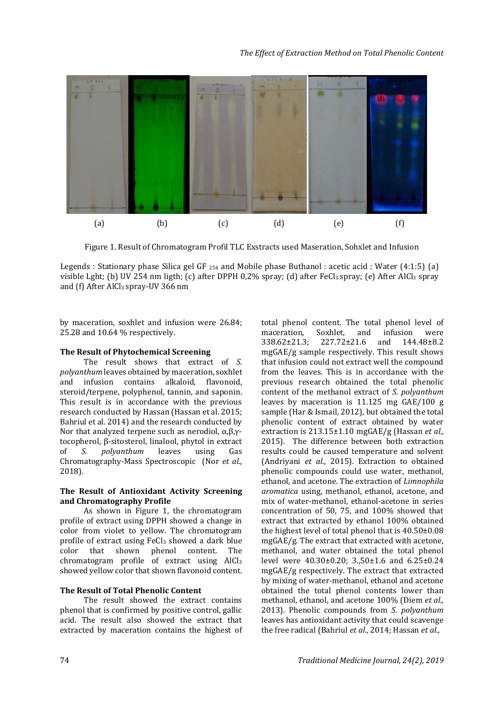

Figure 1. Result of Chromatogram Profil TLC Exstracts used Maseration, Sohxlet and Infusion

Legends : Stationary phase Silica gel GF <sup>254</sup> and Mobile phase Buthanol : acetic acid : Water (4:1:5) (a) visible Lght; (b) UV 254 nm ligth; (c) after DPPH 0,2% spray; (d) after FeCl3 spray; (e) After AlCl3 spray and (f) After AlCl3 spray-UV 366 nm

by maceration, soxhlet and infusion were 26.84; 25.28 and 10.64 % respectively.

## **The Result of Phytochemical Screening**

The result shows that extract of *S. polyanthum* leaves obtained by maceration, soxhlet and infusion contains alkaloid, flavonoid, steroid/terpene, polyphenol, tannin, and saponin. This result is in accordance with the previous research conducted by Hassan (Hassan et al. 2015; Bahriul et al. 2014) and the research conducted by Nor that analyzed terpene such as nerodiol, α,β,γtocopherol, β-sitosterol, linalool, phytol in extract of *S. polyanthum* leaves using Gas Chromatography-Mass Spectroscopic (Nor *et al.,* 2018).

## **The Result of Antioxidant Activity Screening and Chromatography Profile**

As shown in Figure 1, the chromatogram profile of extract using DPPH showed a change in color from violet to yellow. The chromatogram profile of extract using FeCl<sub>3</sub> showed a dark blue color that shown phenol content. The chromatogram profile of extract using AlCl<sup>3</sup> showed yellow color that shown flavonoid content.

## **The Result of Total Phenolic Content**

The result showed the extract contains phenol that is confirmed by positive control, gallic acid. The result also showed the extract that extracted by maceration contains the highest of

total phenol content. The total phenol level of maceration, Soxhlet, and infusion were<br>338.62±21.3; 227.72±21.6 and 144.48±8.2 338.62±21.3; 227.72±21.6 and 144.48±8.2 mgGAE/g sample respectively. This result shows that infusion could not extract well the compound from the leaves. This is in accordance with the previous research obtained the total phenolic content of the methanol extract of *S. polyanthum* leaves by maceration is 11.125 mg GAE/100 g sample (Har & Ismail, 2012), but obtained the total phenolic content of extract obtained by water extraction is 213.15±1.10 mgGAE/g (Hassan *et al.,* 2015). The difference between both extraction results could be caused temperature and solvent (Andriyani *et al.,* 2015). Extraction to obtained phenolic compounds could use water, methanol, ethanol, and acetone. The extraction of *Limnophila aromatica* using, methanol, ethanol, acetone, and mix of water-methanol, ethanol-acetone in series concentration of 50, 75, and 100% showed that extract that extracted by ethanol 100% obtained the highest level of total phenol that is 40.50±0.08 mgGAE/g. The extract that extracted with acetone, methanol, and water obtained the total phenol level were 40.30±0.20; 3.,50±1.6 and 6.25±0.24 mgGAE/g respectively. The extract that extracted by mixing of water-methanol, ethanol and acetone obtained the total phenol contents lower than methanol, ethanol, and acetone 100% (Diem *et al.,* 2013). Phenolic compounds from *S. polyanthum* leaves has antioxidant activity that could scavenge the free radical (Bahriul *et al.,* 2014; Hassan *et al.,*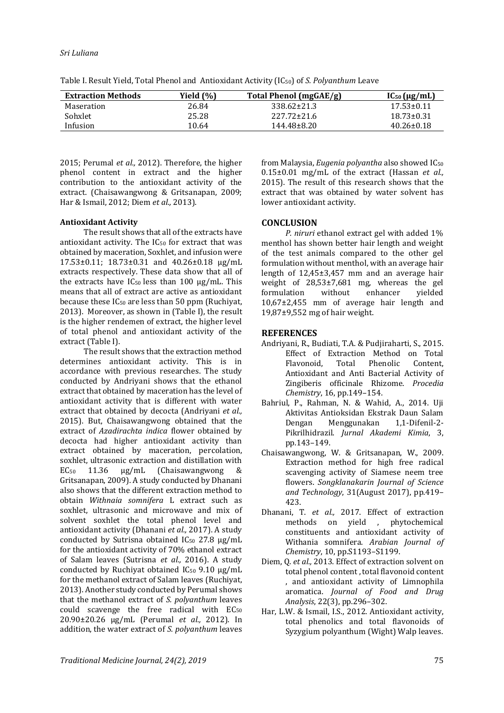## *Traditional Medicine Journal, 24(2), 2019* 75

## *Sri Luliana*

| Table I. Result Yield, Total Phenol and Antioxidant Activity (IC <sub>50</sub> ) of S. Polyanthum Leave |  |  |  |
|---------------------------------------------------------------------------------------------------------|--|--|--|
|---------------------------------------------------------------------------------------------------------|--|--|--|

| <b>Extraction Methods</b> | Yield (%) | Total Phenol (mgGAE/g) | $IC_{50}$ ( $\mu$ g/mL) |
|---------------------------|-----------|------------------------|-------------------------|
| Maseration                | 26.84     | 338.62±21.3            | $17.53 \pm 0.11$        |
| Sohxlet                   | 25.28     | $227.72 \pm 21.6$      | $18.73 \pm 0.31$        |
| Infusion                  | 10.64     | 144 48 + 8.20          | $40.26 \pm 0.18$        |

2015; Perumal *et al.,* 2012). Therefore, the higher phenol content in extract and the higher contribution to the antioxidant activity of the extract. (Chaisawangwong & Gritsanapan, 2009; Har & Ismail, 2012; Diem *et al.,* 2013).

## **Antioxidant Activity**

The result shows that all of the extracts have antioxidant activity. The IC<sup>50</sup> for extract that was obtained by maceration, Soxhlet, and infusion were 17.53±0.11; 18.73±0.31 and 40.26±0.18 µg/mL extracts respectively. These data show that all of the extracts have  $IC_{50}$  less than 100  $\mu$ g/mL. This means that all of extract are active as antioxidant because these IC<sup>50</sup> are less than 50 ppm (Ruchiyat, 2013). Moreover, as shown in (Table I), the result is the higher rendemen of extract, the higher level of total phenol and antioxidant activity of the extract (Table I).

The result shows that the extraction method determines antioxidant activity. This is in accordance with previous researches. The study conducted by Andriyani shows that the ethanol extract that obtained by maceration has the level of antioxidant activity that is different with water extract that obtained by decocta (Andriyani *et al.,* 2015). But, Chaisawangwong obtained that the extract of *Azadirachta indica* flower obtained by decocta had higher antioxidant activity than extract obtained by maceration, percolation, soxhlet, ultrasonic extraction and distillation with EC<sup>50</sup> 11.36 µg/mL (Chaisawangwong & Gritsanapan, 2009). A study conducted by Dhanani also shows that the different extraction method to obtain *Withnaia somnifera* L extract such as soxhlet, ultrasonic and microwave and mix of solvent soxhlet the total phenol level and antioxidant activity (Dhanani *et al.,* 2017). A study conducted by Sutrisna obtained  $IC_{50}$  27.8  $\mu$ g/mL for the antioxidant activity of 70% ethanol extract of Salam leaves (Sutrisna *et al.,* 2016). A study conducted by Ruchiyat obtained  $IC_{50}$  9.10  $\mu$ g/mL for the methanol extract of Salam leaves (Ruchiyat, 2013). Another study conducted by Perumal shows that the methanol extract of *S. polyanthum* leaves could scavenge the free radical with EC<sub>50</sub> 20.90±20.26 µg/mL (Perumal *et al.,* 2012). In addition, the water extract of *S. polyanthum* leaves from Malaysia, *Eugenia polyantha* also showed IC<sup>50</sup> 0.15±0.01 mg/mL of the extract (Hassan *et al.,* 2015). The result of this research shows that the extract that was obtained by water solvent has lower antioxidant activity.

## **CONCLUSION**

*P. niruri* ethanol extract gel with added 1% menthol has shown better hair length and weight of the test animals compared to the other gel formulation without menthol, with an average hair length of 12,45±3,457 mm and an average hair weight of 28,53±7,681 mg, whereas the gel<br>formulation without enhancer vielded formulation without enhancer 10,67±2,455 mm of average hair length and 19,87±9,552 mg of hair weight.

## **REFERENCES**

- Andriyani, R., Budiati, T.A. & Pudjiraharti, S., 2015. Effect of Extraction Method on Total Flavonoid, Total Phenolic Content, Antioxidant and Anti Bacterial Activity of Zingiberis officinale Rhizome. *Procedia Chemistry*, 16, pp.149–154.
- Bahriul, P., Rahman, N. & Wahid, A., 2014. Uji Aktivitas Antioksidan Ekstrak Daun Salam Dengan Menggunakan 1,1-Difenil-2- Pikrilhidrazil. *Jurnal Akademi Kimia*, 3, pp.143–149.
- Chaisawangwong, W. & Gritsanapan, W., 2009. Extraction method for high free radical scavenging activity of Siamese neem tree flowers. *Songklanakarin Journal of Science and Technology*, 31(August 2017), pp.419– 423.
- Dhanani, T. *et al.,* 2017. Effect of extraction methods on yield , phytochemical constituents and antioxidant activity of Withania somnifera. *Arabian Journal of Chemistry*, 10, pp.S1193–S1199.
- Diem, Q. *et al.,* 2013. Effect of extraction solvent on total phenol content , total flavonoid content , and antioxidant activity of Limnophila aromatica. *Journal of Food and Drug Analysis*, 22(3), pp.296–302.
- Har, L.W. & Ismail, I.S., 2012. Antioxidant activity, total phenolics and total flavonoids of Syzygium polyanthum (Wight) Walp leaves.